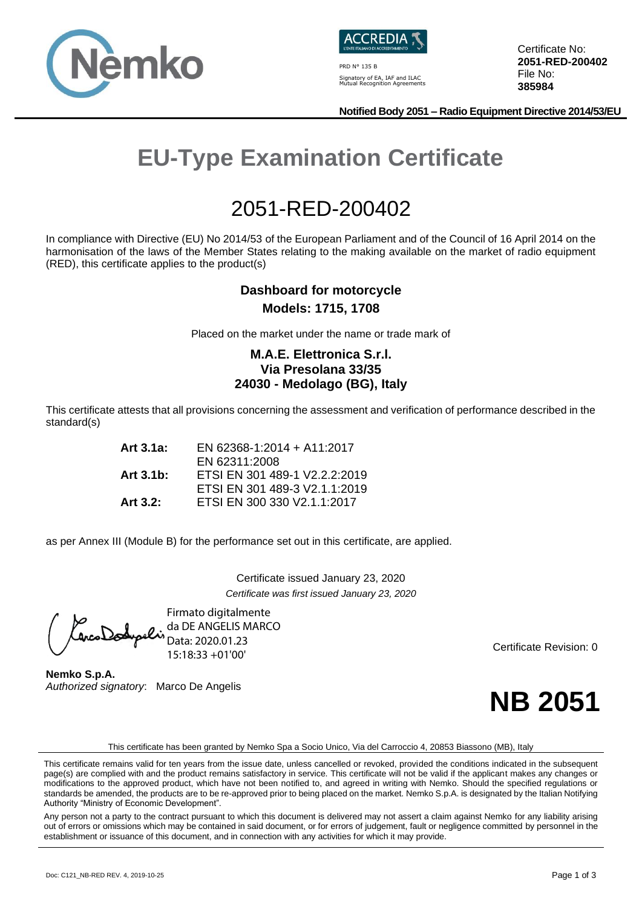



PRD N° 135 B Signatory of EA, IAF and ILAC Mutual Recognition Agreements Certificate No: **2051-RED-200402** File No: **385984**

**Notified Body 2051 – Radio Equipment Directive 2014/53/EU**

# **EU-Type Examination Certificate**

## 2051-RED-200402

In compliance with Directive (EU) No 2014/53 of the European Parliament and of the Council of 16 April 2014 on the harmonisation of the laws of the Member States relating to the making available on the market of radio equipment (RED), this certificate applies to the product(s)

### **Dashboard for motorcycle Models: 1715, 1708**

Placed on the market under the name or trade mark of

### **M.A.E. Elettronica S.r.l. Via Presolana 33/35 24030 - Medolago (BG), Italy**

This certificate attests that all provisions concerning the assessment and verification of performance described in the standard(s)

| Art 3.1a:   | EN 62368-1:2014 + A11:2017    |
|-------------|-------------------------------|
|             | EN 62311:2008                 |
| Art 3.1b:   | ETSI EN 301 489-1 V2.2.2:2019 |
|             | ETSI EN 301 489-3 V2.1.1:2019 |
| Art $3.2$ : | ETSI EN 300 330 V2.1.1:2017   |

as per Annex III (Module B) for the performance set out in this certificate, are applied.

Certificate issued January 23, 2020 *Certificate was first issued January 23, 2020*

Firmato digitalmente da DE ANGELIS MARCO tarcoDodypelis Data: 2020.01.23 15:18:33 +01'00'

**Nemko S.p.A.** *Authorized signatory*: Marco De Angelis

Certificate Revision: 0



This certificate has been granted by Nemko Spa a Socio Unico, Via del Carroccio 4, 20853 Biassono (MB), Italy

Any person not a party to the contract pursuant to which this document is delivered may not assert a claim against Nemko for any liability arising out of errors or omissions which may be contained in said document, or for errors of judgement, fault or negligence committed by personnel in the establishment or issuance of this document, and in connection with any activities for which it may provide.

This certificate remains valid for ten years from the issue date, unless cancelled or revoked, provided the conditions indicated in the subsequent page(s) are complied with and the product remains satisfactory in service. This certificate will not be valid if the applicant makes any changes or modifications to the approved product, which have not been notified to, and agreed in writing with Nemko. Should the specified regulations or standards be amended, the products are to be re-approved prior to being placed on the market. Nemko S.p.A. is designated by the Italian Notifying Authority "Ministry of Economic Development".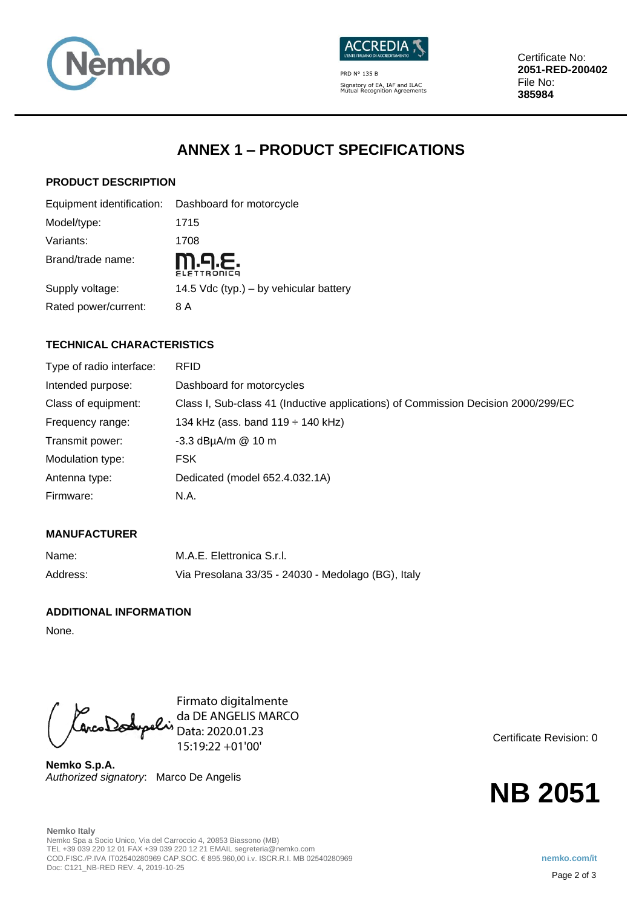



PRD N° 135 B Signatory of EA, IAF and ILAC Mutual Recognition Agreements Certificate No: **2051-RED-200402** File No: **385984**

### **ANNEX 1 – PRODUCT SPECIFICATIONS**

### **PRODUCT DESCRIPTION**

|                      | Equipment identification: Dashboard for motorcycle |
|----------------------|----------------------------------------------------|
| Model/type:          | 1715                                               |
| Variants:            | 1708                                               |
| Brand/trade name:    | M.9.E.<br><b>ELETTRONICA</b>                       |
| Supply voltage:      | 14.5 Vdc (typ.) – by vehicular battery             |
| Rated power/current: | 8 A                                                |

### **TECHNICAL CHARACTERISTICS**

| Type of radio interface: | <b>RFID</b>                                                                       |
|--------------------------|-----------------------------------------------------------------------------------|
| Intended purpose:        | Dashboard for motorcycles                                                         |
| Class of equipment:      | Class I, Sub-class 41 (Inductive applications) of Commission Decision 2000/299/EC |
| Frequency range:         | 134 kHz (ass. band $119 \div 140$ kHz)                                            |
| Transmit power:          | $-3.3$ dBµA/m $@$ 10 m                                                            |
| Modulation type:         | <b>FSK</b>                                                                        |
| Antenna type:            | Dedicated (model 652.4.032.1A)                                                    |
| Firmware:                | N.A.                                                                              |

### **MANUFACTURER**

| Name:    | M.A.E. Elettronica S.r.I.                          |
|----------|----------------------------------------------------|
| Address: | Via Presolana 33/35 - 24030 - Medolago (BG), Italy |

### **ADDITIONAL INFORMATION**

None.

Firmato digitalmente da DE ANGELIS MARCO Data: 2020.01.23 15:19:22 +01'00'

**Nemko S.p.A.** *Authorized signatory*: Marco De Angelis Certificate Revision: 0